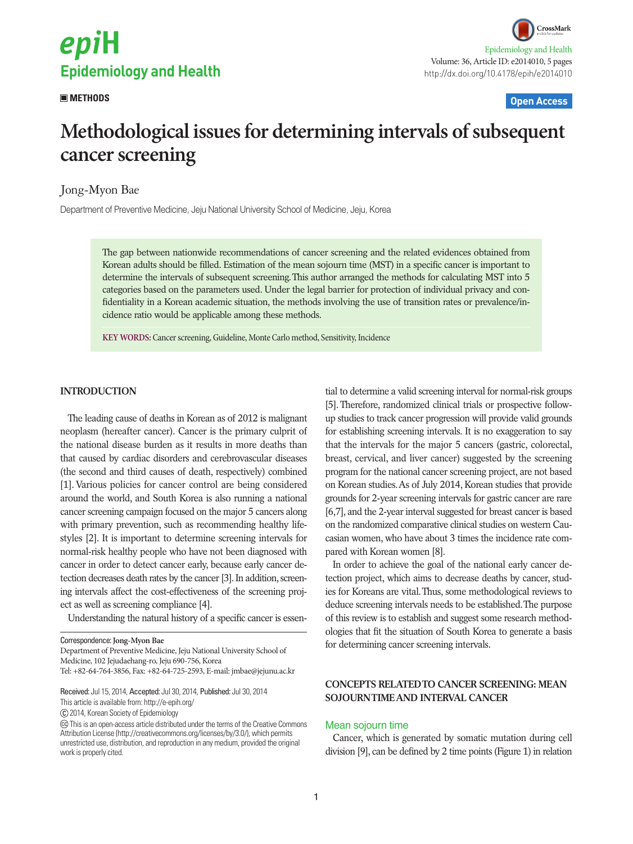

CrossMark Epidemiology and Health Volume: 36, Article ID: e2014010, 5 pages http://dx.doi.org/10.4178/epih/e2014010

# **METHODS Open Access**

# **Methodological issues for determining intervals of subsequent cancer screening**

# Jong-Myon Bae

Department of Preventive Medicine, Jeju National University School of Medicine, Jeju, Korea

The gap between nationwide recommendations of cancer screening and the related evidences obtained from Korean adults should be filled. Estimation of the mean sojourn time (MST) in a specific cancer is important to determine the intervals of subsequent screening. This author arranged the methods for calculating MST into 5 categories based on the parameters used. Under the legal barrier for protection of individual privacy and confidentiality in a Korean academic situation, the methods involving the use of transition rates or prevalence/incidence ratio would be applicable among these methods.

**KEY WORDS:** Cancer screening, Guideline, Monte Carlo method, Sensitivity, Incidence

# **INTRODUCTION**

The leading cause of deaths in Korean as of 2012 is malignant neoplasm (hereafter cancer). Cancer is the primary culprit of the national disease burden as it results in more deaths than that caused by cardiac disorders and cerebrovascular diseases (the second and third causes of death, respectively) combined [1]. Various policies for cancer control are being considered around the world, and South Korea is also running a national cancer screening campaign focused on the major 5 cancers along with primary prevention, such as recommending healthy lifestyles [2]. It is important to determine screening intervals for normal-risk healthy people who have not been diagnosed with cancer in order to detect cancer early, because early cancer detection decreases death rates by the cancer [3]. In addition, screening intervals affect the cost-effectiveness of the screening project as well as screening compliance [4].

Understanding the natural history of a specific cancer is essen-

Correspondence: **Jong-Myon Bae**

Department of Preventive Medicine, Jeju National University School of Medicine, 102 Jejudaehang-ro, Jeju 690-756, Korea Tel: +82-64-764-3856, Fax: +82-64-725-2593, E-mail: jmbae@jejunu.ac.kr

Received: Jul 15, 2014, Accepted: Jul 30, 2014, Published: Jul 30, 2014

This article is available from: http://e-epih.org/

2014, Korean Society of Epidemiology

tial to determine a valid screening interval for normal-risk groups [5]. Therefore, randomized clinical trials or prospective followup studies to track cancer progression will provide valid grounds for establishing screening intervals. It is no exaggeration to say that the intervals for the major 5 cancers (gastric, colorectal, breast, cervical, and liver cancer) suggested by the screening program for the national cancer screening project, are not based on Korean studies. As of July 2014, Korean studies that provide grounds for 2-year screening intervals for gastric cancer are rare [6,7], and the 2-year interval suggested for breast cancer is based on the randomized comparative clinical studies on western Caucasian women, who have about 3 times the incidence rate compared with Korean women [8].

In order to achieve the goal of the national early cancer detection project, which aims to decrease deaths by cancer, studies for Koreans are vital. Thus, some methodological reviews to deduce screening intervals needs to be established. The purpose of this review is to establish and suggest some research methodologies that fit the situation of South Korea to generate a basis for determining cancer screening intervals.

# **CONCEPTS RELATED TO CANCER SCREENING: MEAN SOJOURN TIME AND INTERVAL CANCER**

#### Mean sojourn time

Cancer, which is generated by somatic mutation during cell division [9], can be defined by 2 time points (Figure 1) in relation

This is an open-access article distributed under the terms of the Creative Commons Attribution License (http://creativecommons.org/licenses/by/3.0/), which permits unrestricted use, distribution, and reproduction in any medium, provided the original work is properly cited.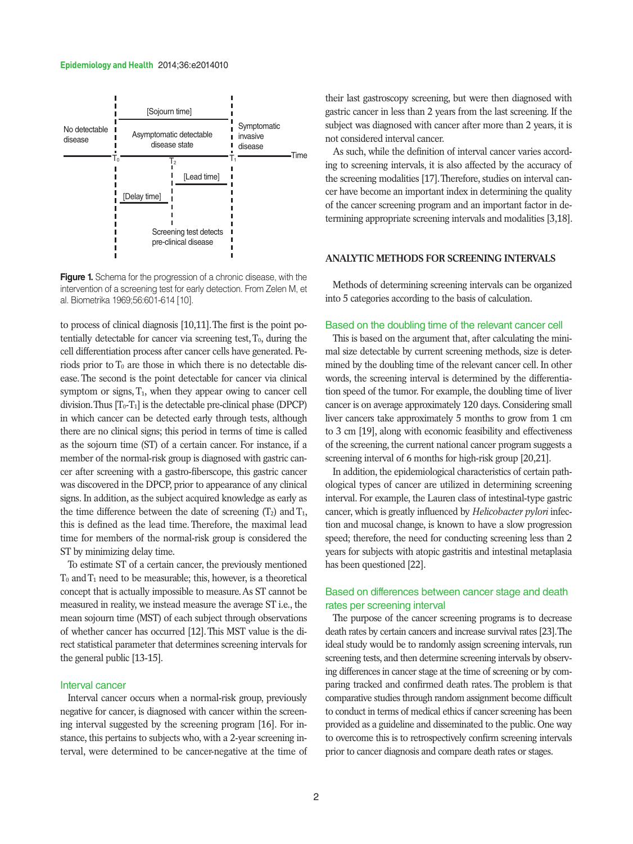#### **Epidemiology and Health** 2014;36:e2014010



**Figure 1.** Schema for the progression of a chronic disease, with the intervention of a screening test for early detection. From Zelen M, et al. Biometrika 1969;56:601-614 [10].

to process of clinical diagnosis [10,11]. The first is the point potentially detectable for cancer via screening test,  $T_0$ , during the cell differentiation process after cancer cells have generated. Periods prior to  $T_0$  are those in which there is no detectable disease. The second is the point detectable for cancer via clinical symptom or signs,  $T_1$ , when they appear owing to cancer cell division. Thus  $[T_0-T_1]$  is the detectable pre-clinical phase (DPCP) in which cancer can be detected early through tests, although there are no clinical signs; this period in terms of time is called as the sojourn time (ST) of a certain cancer. For instance, if a member of the normal-risk group is diagnosed with gastric cancer after screening with a gastro-fiberscope, this gastric cancer was discovered in the DPCP, prior to appearance of any clinical signs. In addition, as the subject acquired knowledge as early as the time difference between the date of screening  $(T_2)$  and  $T_1$ , this is defined as the lead time. Therefore, the maximal lead time for members of the normal-risk group is considered the ST by minimizing delay time.

To estimate ST of a certain cancer, the previously mentioned  $T_0$  and  $T_1$  need to be measurable; this, however, is a theoretical concept that is actually impossible to measure. As ST cannot be measured in reality, we instead measure the average ST i.e., the mean sojourn time (MST) of each subject through observations of whether cancer has occurred [12]. This MST value is the direct statistical parameter that determines screening intervals for the general public [13-15].

# Interval cancer

Interval cancer occurs when a normal-risk group, previously negative for cancer, is diagnosed with cancer within the screening interval suggested by the screening program [16]. For instance, this pertains to subjects who, with a 2-year screening interval, were determined to be cancer-negative at the time of their last gastroscopy screening, but were then diagnosed with gastric cancer in less than 2 years from the last screening. If the subject was diagnosed with cancer after more than 2 years, it is not considered interval cancer.

As such, while the definition of interval cancer varies according to screening intervals, it is also affected by the accuracy of the screening modalities [17]. Therefore, studies on interval cancer have become an important index in determining the quality of the cancer screening program and an important factor in determining appropriate screening intervals and modalities [3,18].

# **ANALYTIC METHODS FOR SCREENING INTERVALS**

Methods of determining screening intervals can be organized into 5 categories according to the basis of calculation.

# Based on the doubling time of the relevant cancer cell

This is based on the argument that, after calculating the minimal size detectable by current screening methods, size is determined by the doubling time of the relevant cancer cell. In other words, the screening interval is determined by the differentiation speed of the tumor. For example, the doubling time of liver cancer is on average approximately 120 days. Considering small liver cancers take approximately 5 months to grow from 1 cm to 3 cm [19], along with economic feasibility and effectiveness of the screening, the current national cancer program suggests a screening interval of 6 months for high-risk group [20,21].

In addition, the epidemiological characteristics of certain pathological types of cancer are utilized in determining screening interval. For example, the Lauren class of intestinal-type gastric cancer, which is greatly influenced by *Helicobacter pylori* infection and mucosal change, is known to have a slow progression speed; therefore, the need for conducting screening less than 2 years for subjects with atopic gastritis and intestinal metaplasia has been questioned [22].

# Based on differences between cancer stage and death rates per screening interval

The purpose of the cancer screening programs is to decrease death rates by certain cancers and increase survival rates [23]. The ideal study would be to randomly assign screening intervals, run screening tests, and then determine screening intervals by observing differences in cancer stage at the time of screening or by comparing tracked and confirmed death rates. The problem is that comparative studies through random assignment become difficult to conduct in terms of medical ethics if cancer screening has been provided as a guideline and disseminated to the public. One way to overcome this is to retrospectively confirm screening intervals prior to cancer diagnosis and compare death rates or stages.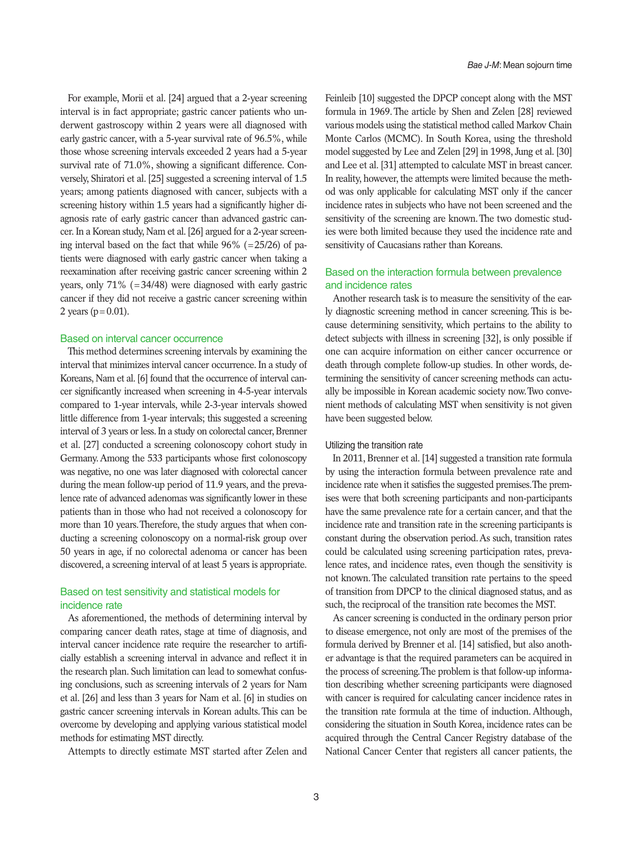For example, Morii et al. [24] argued that a 2-year screening interval is in fact appropriate; gastric cancer patients who underwent gastroscopy within 2 years were all diagnosed with early gastric cancer, with a 5-year survival rate of 96.5%, while those whose screening intervals exceeded 2 years had a 5-year survival rate of 71.0%, showing a significant difference. Conversely, Shiratori et al. [25] suggested a screening interval of 1.5 years; among patients diagnosed with cancer, subjects with a screening history within 1.5 years had a significantly higher diagnosis rate of early gastric cancer than advanced gastric cancer. In a Korean study, Nam et al. [26] argued for a 2-year screening interval based on the fact that while  $96\%$  (=25/26) of patients were diagnosed with early gastric cancer when taking a reexamination after receiving gastric cancer screening within 2 years, only 71% (=34/48) were diagnosed with early gastric cancer if they did not receive a gastric cancer screening within 2 years ( $p = 0.01$ ).

#### Based on interval cancer occurrence

This method determines screening intervals by examining the interval that minimizes interval cancer occurrence. In a study of Koreans, Nam et al. [6] found that the occurrence of interval cancer significantly increased when screening in 4-5-year intervals compared to 1-year intervals, while 2-3-year intervals showed little difference from 1-year intervals; this suggested a screening interval of 3 years or less. In a study on colorectal cancer, Brenner et al. [27] conducted a screening colonoscopy cohort study in Germany. Among the 533 participants whose first colonoscopy was negative, no one was later diagnosed with colorectal cancer during the mean follow-up period of 11.9 years, and the prevalence rate of advanced adenomas was significantly lower in these patients than in those who had not received a colonoscopy for more than 10 years. Therefore, the study argues that when conducting a screening colonoscopy on a normal-risk group over 50 years in age, if no colorectal adenoma or cancer has been discovered, a screening interval of at least 5 years is appropriate.

# Based on test sensitivity and statistical models for incidence rate

As aforementioned, the methods of determining interval by comparing cancer death rates, stage at time of diagnosis, and interval cancer incidence rate require the researcher to artificially establish a screening interval in advance and reflect it in the research plan. Such limitation can lead to somewhat confusing conclusions, such as screening intervals of 2 years for Nam et al. [26] and less than 3 years for Nam et al. [6] in studies on gastric cancer screening intervals in Korean adults. This can be overcome by developing and applying various statistical model methods for estimating MST directly.

Attempts to directly estimate MST started after Zelen and

Feinleib [10] suggested the DPCP concept along with the MST formula in 1969. The article by Shen and Zelen [28] reviewed various models using the statistical method called Markov Chain Monte Carlos (MCMC). In South Korea, using the threshold model suggested by Lee and Zelen [29] in 1998, Jung et al. [30] and Lee et al. [31] attempted to calculate MST in breast cancer. In reality, however, the attempts were limited because the method was only applicable for calculating MST only if the cancer incidence rates in subjects who have not been screened and the sensitivity of the screening are known. The two domestic studies were both limited because they used the incidence rate and sensitivity of Caucasians rather than Koreans.

# Based on the interaction formula between prevalence and incidence rates

Another research task is to measure the sensitivity of the early diagnostic screening method in cancer screening. This is because determining sensitivity, which pertains to the ability to detect subjects with illness in screening [32], is only possible if one can acquire information on either cancer occurrence or death through complete follow-up studies. In other words, determining the sensitivity of cancer screening methods can actually be impossible in Korean academic society now. Two convenient methods of calculating MST when sensitivity is not given have been suggested below.

#### Utilizing the transition rate

In 2011, Brenner et al. [14] suggested a transition rate formula by using the interaction formula between prevalence rate and incidence rate when it satisfies the suggested premises. The premises were that both screening participants and non-participants have the same prevalence rate for a certain cancer, and that the incidence rate and transition rate in the screening participants is constant during the observation period. As such, transition rates could be calculated using screening participation rates, prevalence rates, and incidence rates, even though the sensitivity is not known. The calculated transition rate pertains to the speed of transition from DPCP to the clinical diagnosed status, and as such, the reciprocal of the transition rate becomes the MST.

As cancer screening is conducted in the ordinary person prior to disease emergence, not only are most of the premises of the formula derived by Brenner et al. [14] satisfied, but also another advantage is that the required parameters can be acquired in the process of screening. The problem is that follow-up information describing whether screening participants were diagnosed with cancer is required for calculating cancer incidence rates in the transition rate formula at the time of induction. Although, considering the situation in South Korea, incidence rates can be acquired through the Central Cancer Registry database of the National Cancer Center that registers all cancer patients, the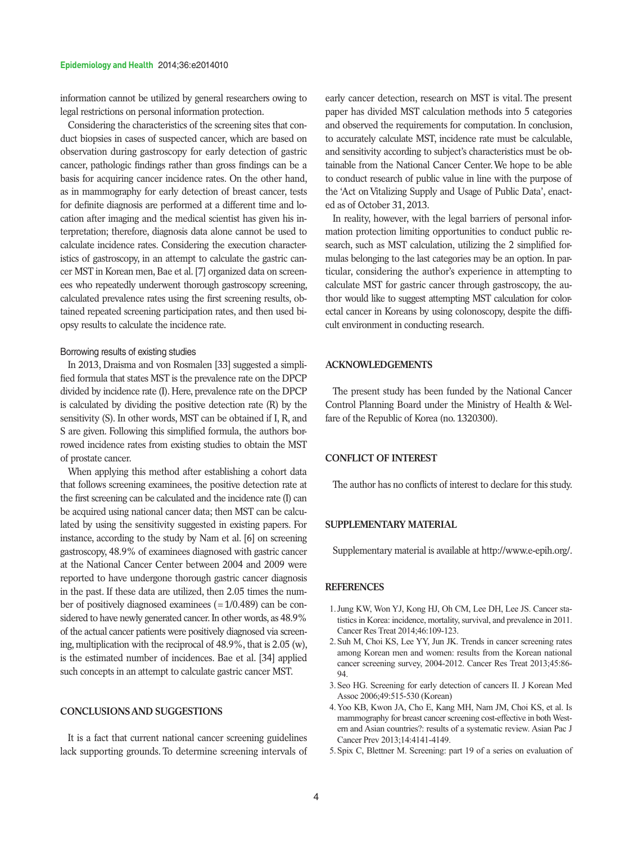#### **Epidemiology and Health** 2014;36:e2014010

information cannot be utilized by general researchers owing to legal restrictions on personal information protection.

Considering the characteristics of the screening sites that conduct biopsies in cases of suspected cancer, which are based on observation during gastroscopy for early detection of gastric cancer, pathologic findings rather than gross findings can be a basis for acquiring cancer incidence rates. On the other hand, as in mammography for early detection of breast cancer, tests for definite diagnosis are performed at a different time and location after imaging and the medical scientist has given his interpretation; therefore, diagnosis data alone cannot be used to calculate incidence rates. Considering the execution characteristics of gastroscopy, in an attempt to calculate the gastric cancer MST in Korean men, Bae et al. [7] organized data on screenees who repeatedly underwent thorough gastroscopy screening, calculated prevalence rates using the first screening results, obtained repeated screening participation rates, and then used biopsy results to calculate the incidence rate.

# Borrowing results of existing studies

In 2013, Draisma and von Rosmalen [33] suggested a simplified formula that states MST is the prevalence rate on the DPCP divided by incidence rate (I). Here, prevalence rate on the DPCP is calculated by dividing the positive detection rate (R) by the sensitivity (S). In other words, MST can be obtained if I, R, and S are given. Following this simplified formula, the authors borrowed incidence rates from existing studies to obtain the MST of prostate cancer.

When applying this method after establishing a cohort data that follows screening examinees, the positive detection rate at the first screening can be calculated and the incidence rate (I) can be acquired using national cancer data; then MST can be calculated by using the sensitivity suggested in existing papers. For instance, according to the study by Nam et al. [6] on screening gastroscopy, 48.9% of examinees diagnosed with gastric cancer at the National Cancer Center between 2004 and 2009 were reported to have undergone thorough gastric cancer diagnosis in the past. If these data are utilized, then 2.05 times the number of positively diagnosed examinees (=1/0.489) can be considered to have newly generated cancer. In other words, as 48.9% of the actual cancer patients were positively diagnosed via screening, multiplication with the reciprocal of 48.9%, that is 2.05 (w), is the estimated number of incidences. Bae et al. [34] applied such concepts in an attempt to calculate gastric cancer MST.

# **CONCLUSIONS AND SUGGESTIONS**

It is a fact that current national cancer screening guidelines lack supporting grounds. To determine screening intervals of

early cancer detection, research on MST is vital. The present paper has divided MST calculation methods into 5 categories and observed the requirements for computation. In conclusion, to accurately calculate MST, incidence rate must be calculable, and sensitivity according to subject's characteristics must be obtainable from the National Cancer Center. We hope to be able to conduct research of public value in line with the purpose of the 'Act on Vitalizing Supply and Usage of Public Data', enacted as of October 31, 2013.

In reality, however, with the legal barriers of personal information protection limiting opportunities to conduct public research, such as MST calculation, utilizing the 2 simplified formulas belonging to the last categories may be an option. In particular, considering the author's experience in attempting to calculate MST for gastric cancer through gastroscopy, the author would like to suggest attempting MST calculation for colorectal cancer in Koreans by using colonoscopy, despite the difficult environment in conducting research.

# **ACKNOWLEDGEMENTS**

The present study has been funded by the National Cancer Control Planning Board under the Ministry of Health & Welfare of the Republic of Korea (no. 1320300).

### **CONFLICT OF INTEREST**

The author has no conflicts of interest to declare for this study.

# **SUPPLEMENTARY MATERIAL**

Supplementary material is available at http://www.e-epih.org/.

#### **REFERENCES**

- 1.Jung KW, Won YJ, Kong HJ, Oh CM, Lee DH, Lee JS. Cancer statistics in Korea: incidence, mortality, survival, and prevalence in 2011. Cancer Res Treat 2014;46:109-123.
- 2.Suh M, Choi KS, Lee YY, Jun JK. Trends in cancer screening rates among Korean men and women: results from the Korean national cancer screening survey, 2004-2012. Cancer Res Treat 2013;45:86- 94.
- 3.Seo HG. Screening for early detection of cancers II. J Korean Med Assoc 2006;49:515-530 (Korean)
- 4.Yoo KB, Kwon JA, Cho E, Kang MH, Nam JM, Choi KS, et al. Is mammography for breast cancer screening cost-effective in both Western and Asian countries?: results of a systematic review. Asian Pac J Cancer Prev 2013;14:4141-4149.
- 5.Spix C, Blettner M. Screening: part 19 of a series on evaluation of